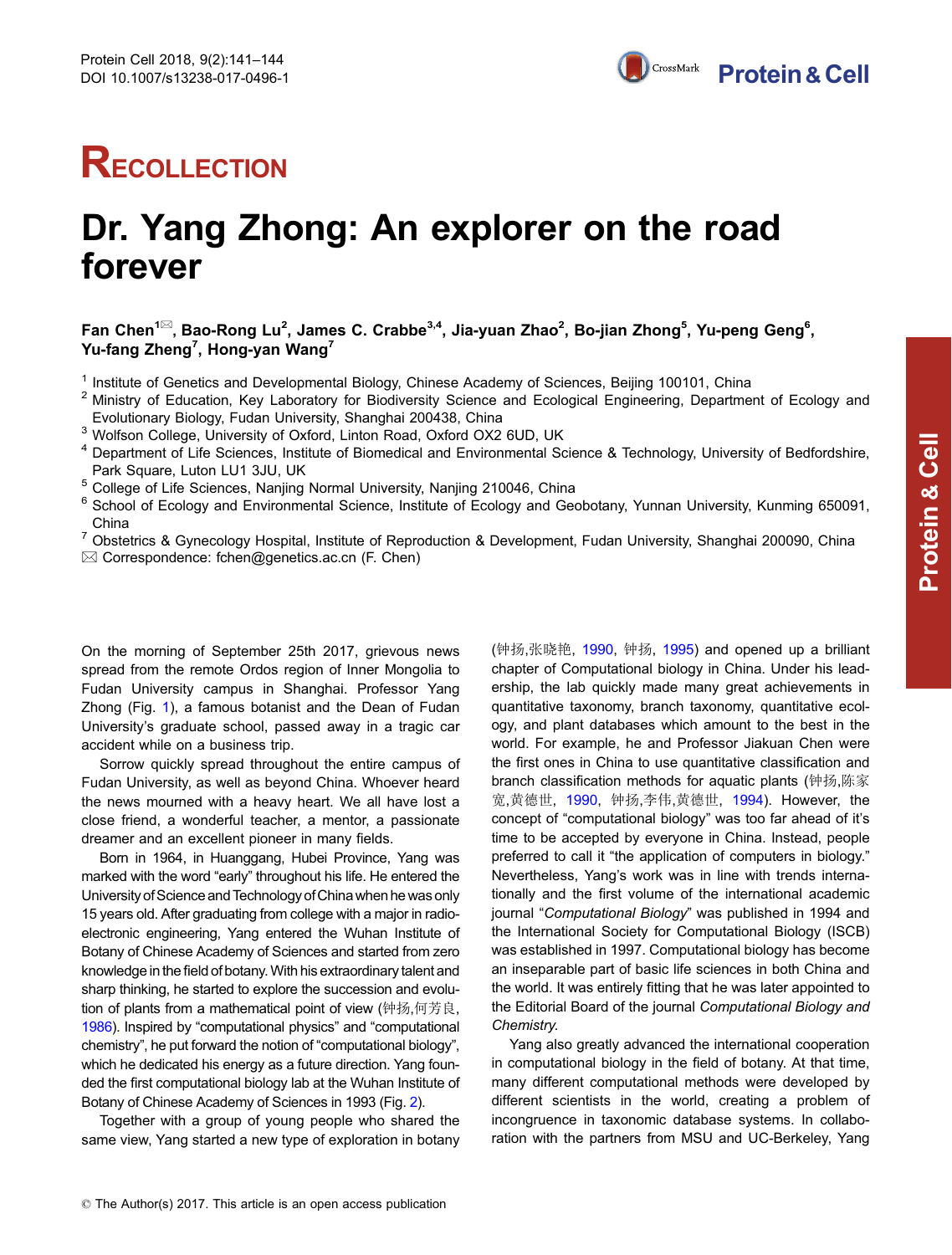## **RECOLLECTION**

## Dr. Yang Zhong: An explorer on the road forever

Fan Chen<sup>1⊠</sup>, Bao-Rong Lu<sup>2</sup>, James C. Crabbe<sup>3,4</sup>, Jia-yuan Zhao<sup>2</sup>, Bo-jian Zhong<sup>5</sup>, Yu-peng Geng<sup>6</sup>, Yu-fang Zheng $^7$ , Hong-yan Wang $^7$ 

<sup>1</sup> Institute of Genetics and Developmental Biology, Chinese Academy of Sciences, Beijing 100101, China

- <sup>2</sup> Ministry of Education, Key Laboratory for Biodiversity Science and Ecological Engineering, Department of Ecology and Evolutionary Biology, Fudan University, Shanghai 200438, China
- <sup>3</sup> Wolfson College, University of Oxford, Linton Road, Oxford OX2 6UD, UK
- <sup>4</sup> Department of Life Sciences, Institute of Biomedical and Environmental Science & Technology, University of Bedfordshire, Park Square, Luton LU1 3JU, UK
- <sup>5</sup> College of Life Sciences, Nanjing Normal University, Nanjing 210046, China
- <sup>6</sup> School of Ecology and Environmental Science, Institute of Ecology and Geobotany, Yunnan University, Kunming 650091, China
- <sup>7</sup> Obstetrics & Gynecology Hospital, Institute of Reproduction & Development, Fudan University, Shanghai 200090, China  $\boxtimes$  Correspondence: fchen@genetics.ac.cn (F. Chen)

On the morning of September 25th 2017, grievous news spread from the remote Ordos region of Inner Mongolia to Fudan University campus in Shanghai. Professor Yang Zhong (Fig. [1](#page-1-0)), a famous botanist and the Dean of Fudan University's graduate school, passed away in a tragic car accident while on a business trip.

Sorrow quickly spread throughout the entire campus of Fudan University, as well as beyond China. Whoever heard the news mourned with a heavy heart. We all have lost a close friend, a wonderful teacher, a mentor, a passionate dreamer and an excellent pioneer in many fields.

Born in 1964, in Huanggang, Hubei Province, Yang was marked with the word "early" throughout his life. He entered the University of Science and Technology of China when he was only 15 years old. After graduating from college with a major in radioelectronic engineering, Yang entered the Wuhan Institute of Botany of Chinese Academy of Sciences and started from zero knowledge in the field of botany.With his extraordinary talent and sharp thinking, he started to explore the succession and evolution of plants from a mathematical point of view (钟扬,何芳良, [1986](#page-3-0)). Inspired by "computational physics" and "computational chemistry", he put forward the notion of "computational biology", which he dedicated his energy as a future direction. Yang founded the first computational biology lab at the Wuhan Institute of Botany of Chinese Academy of Sciences in 1993 (Fig. [2](#page-1-0)).

Together with a group of young people who shared the same view, Yang started a new type of exploration in botany

(钟扬,张晓艳, [1990,](#page-3-0) 钟扬, [1995](#page-3-0)) and opened up a brilliant chapter of Computational biology in China. Under his leadership, the lab quickly made many great achievements in quantitative taxonomy, branch taxonomy, quantitative ecology, and plant databases which amount to the best in the world. For example, he and Professor Jiakuan Chen were the first ones in China to use quantitative classification and branch classification methods for aquatic plants (钟扬,陈家 宽,黄德世, [1990,](#page-3-0) 钟扬,李伟,黄德世, [1994\)](#page-3-0). However, the concept of "computational biology" was too far ahead of it's time to be accepted by everyone in China. Instead, people preferred to call it "the application of computers in biology." Nevertheless, Yang's work was in line with trends internationally and the first volume of the international academic journal "Computational Biology" was published in 1994 and the International Society for Computational Biology (ISCB) was established in 1997. Computational biology has become an inseparable part of basic life sciences in both China and the world. It was entirely fitting that he was later appointed to the Editorial Board of the journal Computational Biology and Chemistry.

Yang also greatly advanced the international cooperation in computational biology in the field of botany. At that time, many different computational methods were developed by different scientists in the world, creating a problem of incongruence in taxonomic database systems. In collaboration with the partners from MSU and UC-Berkeley, Yang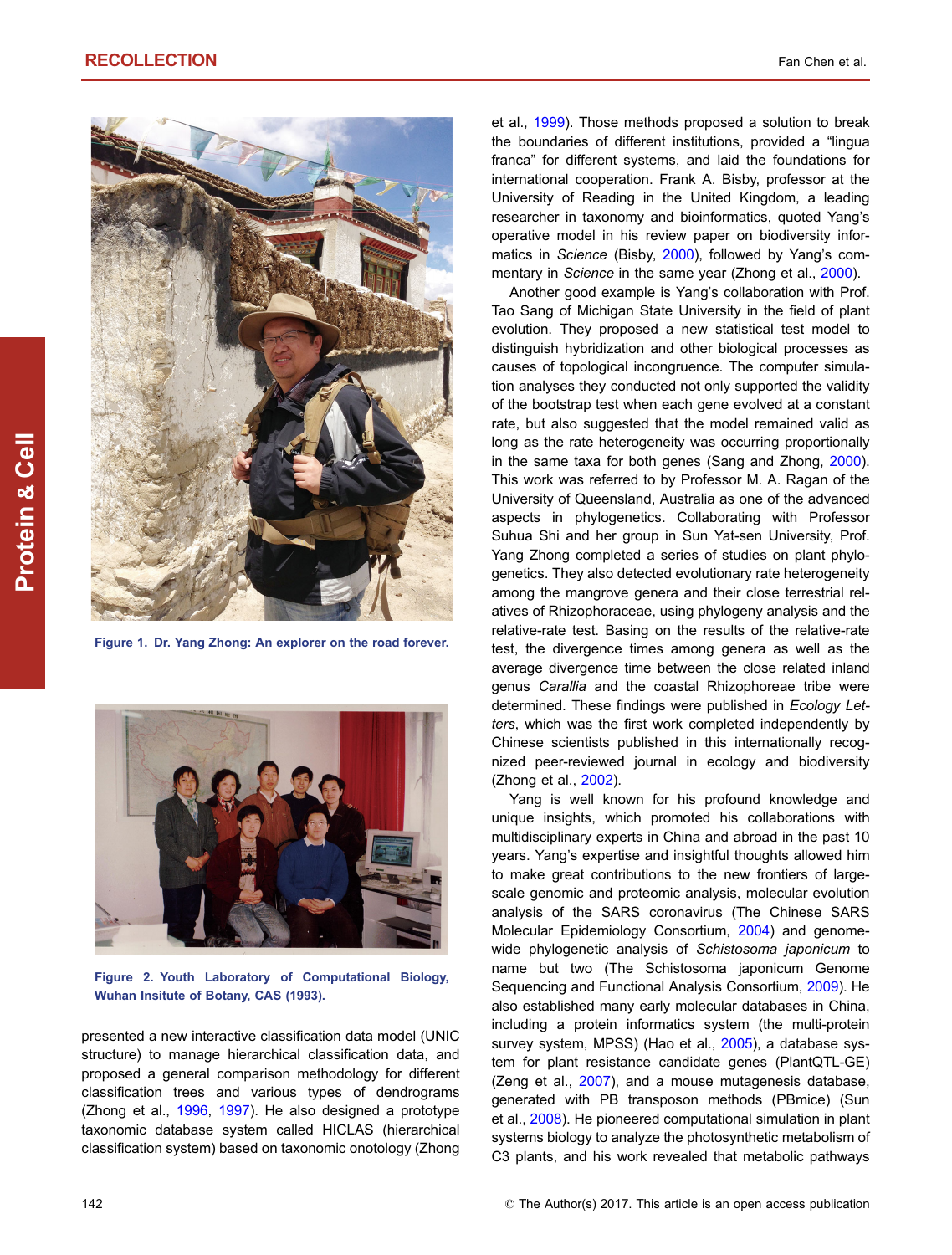<span id="page-1-0"></span>

Figure 1. Dr. Yang Zhong: An explorer on the road forever.



Figure 2. Youth Laboratory of Computational Biology, Wuhan Insitute of Botany, CAS (1993).

presented a new interactive classification data model (UNIC structure) to manage hierarchical classification data, and proposed a general comparison methodology for different classification trees and various types of dendrograms (Zhong et al., [1996](#page-3-0), [1997](#page-3-0)). He also designed a prototype taxonomic database system called HICLAS (hierarchical classification system) based on taxonomic onotology (Zhong

et al., [1999](#page-3-0)). Those methods proposed a solution to break the boundaries of different institutions, provided a "lingua franca" for different systems, and laid the foundations for international cooperation. Frank A. Bisby, professor at the University of Reading in the United Kingdom, a leading researcher in taxonomy and bioinformatics, quoted Yang's operative model in his review paper on biodiversity infor-matics in Science (Bisby, [2000](#page-2-0)), followed by Yang's com-mentary in Science in the same year (Zhong et al., [2000](#page-3-0)).

Another good example is Yang's collaboration with Prof. Tao Sang of Michigan State University in the field of plant evolution. They proposed a new statistical test model to distinguish hybridization and other biological processes as causes of topological incongruence. The computer simulation analyses they conducted not only supported the validity of the bootstrap test when each gene evolved at a constant rate, but also suggested that the model remained valid as long as the rate heterogeneity was occurring proportionally in the same taxa for both genes (Sang and Zhong, [2000\)](#page-3-0). This work was referred to by Professor M. A. Ragan of the University of Queensland, Australia as one of the advanced aspects in phylogenetics. Collaborating with Professor Suhua Shi and her group in Sun Yat-sen University, Prof. Yang Zhong completed a series of studies on plant phylogenetics. They also detected evolutionary rate heterogeneity among the mangrove genera and their close terrestrial relatives of Rhizophoraceae, using phylogeny analysis and the relative-rate test. Basing on the results of the relative-rate test, the divergence times among genera as well as the average divergence time between the close related inland genus Carallia and the coastal Rhizophoreae tribe were determined. These findings were published in Ecology Letters, which was the first work completed independently by Chinese scientists published in this internationally recognized peer-reviewed journal in ecology and biodiversity (Zhong et al., [2002\)](#page-3-0).

Yang is well known for his profound knowledge and unique insights, which promoted his collaborations with multidisciplinary experts in China and abroad in the past 10 years. Yang's expertise and insightful thoughts allowed him to make great contributions to the new frontiers of largescale genomic and proteomic analysis, molecular evolution analysis of the SARS coronavirus (The Chinese SARS Molecular Epidemiology Consortium, [2004\)](#page-3-0) and genomewide phylogenetic analysis of Schistosoma japonicum to name but two (The Schistosoma japonicum Genome Sequencing and Functional Analysis Consortium, [2009\)](#page-3-0). He also established many early molecular databases in China, including a protein informatics system (the multi-protein survey system, MPSS) (Hao et al., [2005\)](#page-2-0), a database system for plant resistance candidate genes (PlantQTL-GE) (Zeng et al., [2007](#page-3-0)), and a mouse mutagenesis database, generated with PB transposon methods (PBmice) (Sun et al., [2008\)](#page-3-0). He pioneered computational simulation in plant systems biology to analyze the photosynthetic metabolism of C3 plants, and his work revealed that metabolic pathways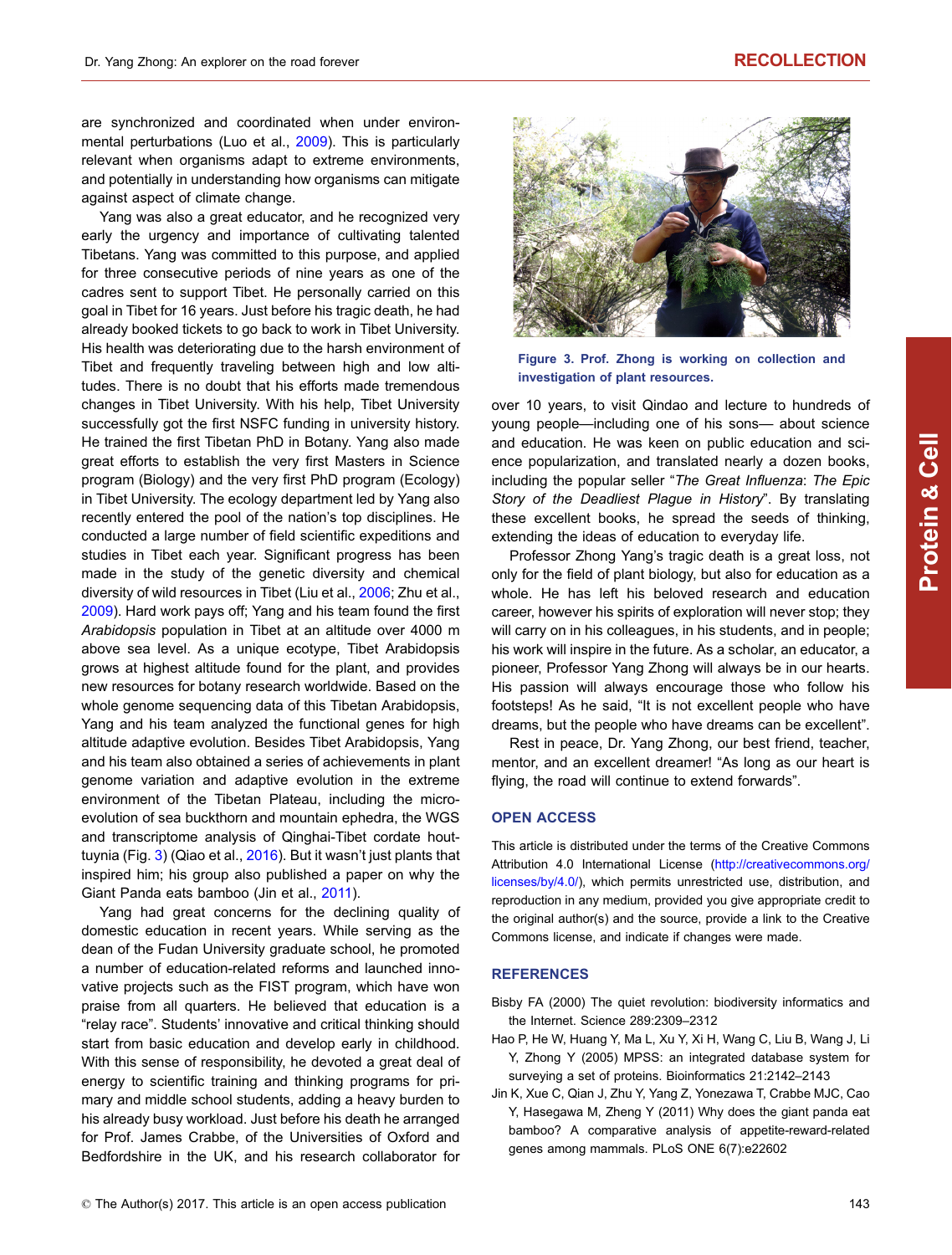<span id="page-2-0"></span>are synchronized and coordinated when under environmental perturbations (Luo et al., [2009\)](#page-3-0). This is particularly relevant when organisms adapt to extreme environments, and potentially in understanding how organisms can mitigate against aspect of climate change.

Yang was also a great educator, and he recognized very early the urgency and importance of cultivating talented Tibetans. Yang was committed to this purpose, and applied for three consecutive periods of nine years as one of the cadres sent to support Tibet. He personally carried on this goal in Tibet for 16 years. Just before his tragic death, he had already booked tickets to go back to work in Tibet University. His health was deteriorating due to the harsh environment of Tibet and frequently traveling between high and low altitudes. There is no doubt that his efforts made tremendous changes in Tibet University. With his help, Tibet University successfully got the first NSFC funding in university history. He trained the first Tibetan PhD in Botany. Yang also made great efforts to establish the very first Masters in Science program (Biology) and the very first PhD program (Ecology) in Tibet University. The ecology department led by Yang also recently entered the pool of the nation's top disciplines. He conducted a large number of field scientific expeditions and studies in Tibet each year. Significant progress has been made in the study of the genetic diversity and chemical diversity of wild resources in Tibet (Liu et al., [2006](#page-3-0); Zhu et al., [2009\)](#page-3-0). Hard work pays off; Yang and his team found the first Arabidopsis population in Tibet at an altitude over 4000 m above sea level. As a unique ecotype, Tibet Arabidopsis grows at highest altitude found for the plant, and provides new resources for botany research worldwide. Based on the whole genome sequencing data of this Tibetan Arabidopsis, Yang and his team analyzed the functional genes for high altitude adaptive evolution. Besides Tibet Arabidopsis, Yang and his team also obtained a series of achievements in plant genome variation and adaptive evolution in the extreme environment of the Tibetan Plateau, including the microevolution of sea buckthorn and mountain ephedra, the WGS and transcriptome analysis of Qinghai-Tibet cordate houttuynia (Fig. 3) (Qiao et al., [2016\)](#page-3-0). But it wasn't just plants that inspired him; his group also published a paper on why the Giant Panda eats bamboo (Jin et al., 2011).

Yang had great concerns for the declining quality of domestic education in recent years. While serving as the dean of the Fudan University graduate school, he promoted a number of education-related reforms and launched innovative projects such as the FIST program, which have won praise from all quarters. He believed that education is a "relay race". Students' innovative and critical thinking should start from basic education and develop early in childhood. With this sense of responsibility, he devoted a great deal of energy to scientific training and thinking programs for primary and middle school students, adding a heavy burden to his already busy workload. Just before his death he arranged for Prof. James Crabbe, of the Universities of Oxford and Bedfordshire in the UK, and his research collaborator for



Figure 3. Prof. Zhong is working on collection and investigation of plant resources.

over 10 years, to visit Qindao and lecture to hundreds of young people—including one of his sons— about science and education. He was keen on public education and science popularization, and translated nearly a dozen books, including the popular seller "The Great Influenza: The Epic Story of the Deadliest Plague in History". By translating these excellent books, he spread the seeds of thinking, extending the ideas of education to everyday life.

Professor Zhong Yang's tragic death is a great loss, not only for the field of plant biology, but also for education as a whole. He has left his beloved research and education career, however his spirits of exploration will never stop; they will carry on in his colleagues, in his students, and in people; his work will inspire in the future. As a scholar, an educator, a pioneer, Professor Yang Zhong will always be in our hearts. His passion will always encourage those who follow his footsteps! As he said, "It is not excellent people who have dreams, but the people who have dreams can be excellent".

Rest in peace, Dr. Yang Zhong, our best friend, teacher, mentor, and an excellent dreamer! "As long as our heart is flying, the road will continue to extend forwards".

## OPEN ACCESS

This article is distributed under the terms of the Creative Commons Attribution 4.0 International License [\(http://creativecommons.org/](http://creativecommons.org/licenses/by/4.0/) [licenses/by/4.0/\)](http://creativecommons.org/licenses/by/4.0/), which permits unrestricted use, distribution, and reproduction in any medium, provided you give appropriate credit to the original author(s) and the source, provide a link to the Creative Commons license, and indicate if changes were made.

## **REFERENCES**

- Bisby FA (2000) The quiet revolution: biodiversity informatics and the Internet. Science 289:2309–2312
- Hao P, He W, Huang Y, Ma L, Xu Y, Xi H, Wang C, Liu B, Wang J, Li Y, Zhong Y (2005) MPSS: an integrated database system for surveying a set of proteins. Bioinformatics 21:2142–2143
- Jin K, Xue C, Qian J, Zhu Y, Yang Z, Yonezawa T, Crabbe MJC, Cao Y, Hasegawa M, Zheng Y (2011) Why does the giant panda eat bamboo? A comparative analysis of appetite-reward-related genes among mammals. PLoS ONE 6(7):e22602